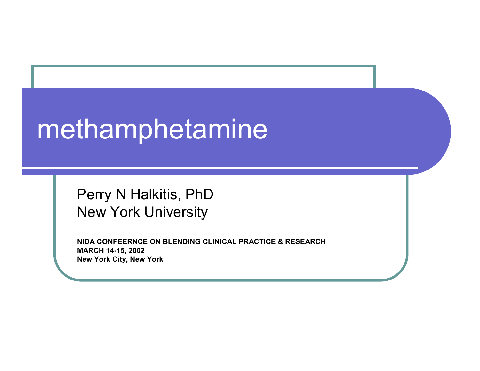# methamphetamine

Perry N Halkitis, PhD New York University

**NIDA CONFEERNCE ON BLENDING CLINICAL PRACTICE & RESEARCHMARCH 1 4-15, 2002 New York Cit y, New York**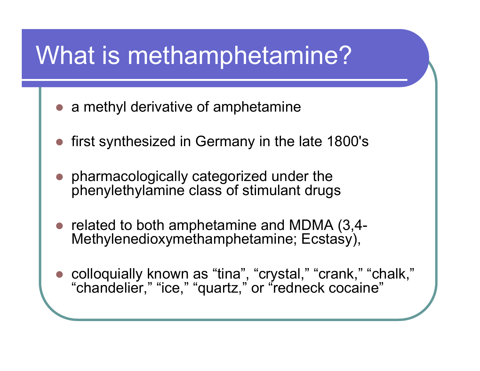## What is methamphetamine?

- a methyl derivative of amphetamine
- $\bullet$ first synthesized in Germany in the late 1800's
- $\bullet$  pharmac ologically categorized under the phenylethylamine clas s of stimulant drugs
- related to both amphetamine and MDMA (3,4-Methylenedioxymethamphetamine; Ecstasy),
- $\bullet$  colloquially known as "tina", "crystal," "crank," "chalk," "chandelier," "ice," "quartz," or "redneck cocaine"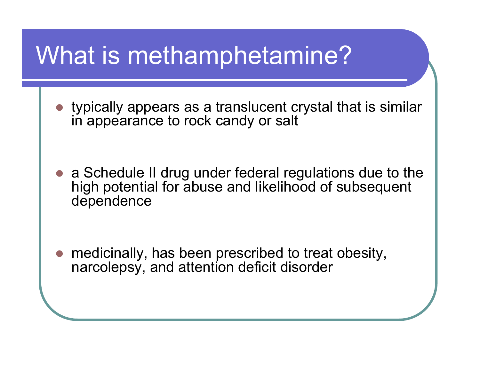## What is methamphetamine?

 $\bullet$  typically appears as a translucent crystal that is similar in appearance to rock candy or salt

 $\bullet$  a Schedule II drug under federal regulations due to the high potential for abuse and likelihood of subsequent dependence

 $\bullet$  medicinally, has been prescribed to treat obesity, narcolepsy, and attention deficit disorder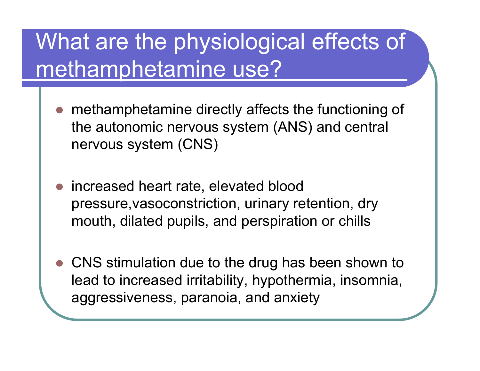## What are the physiological effects of methamphetamine use?

- $\bullet$ • methamphetamine directly affects the functioning of the autonomic nervous system (ANS) and central nervous system (CNS)
- $\bigcirc$  increased heart rate, elevated blood pressure,vasoconstriction, urinary retention, dry mouth, dilated pupils, and pers piration or chills
- $\bullet$  CNS stimulation due to the drug has been shown to lead to increased irritability, hypothermia, ins omnia, aggressiv eness, paranoia, and anxiety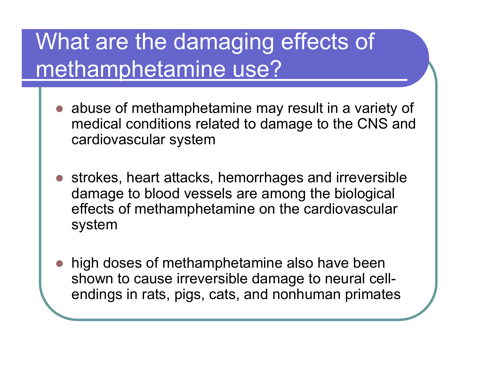## What are the damaging effects of methamphetamine use?

- abuse of methamphetamine may result in a variety of medic al conditions related to damage to the CNS and cardiovascular system
- $\bigcirc$ • strokes, heart attacks, hemorrhages and irreversible damage to blood vessels are among the biological effects of methamphetamine on the cardiovascular system
- $\bullet$ ● high doses of methamphetamine also have been shown to cause irrev ersible damage to neural cellendings in rats, pigs, cats, and nonhuman primates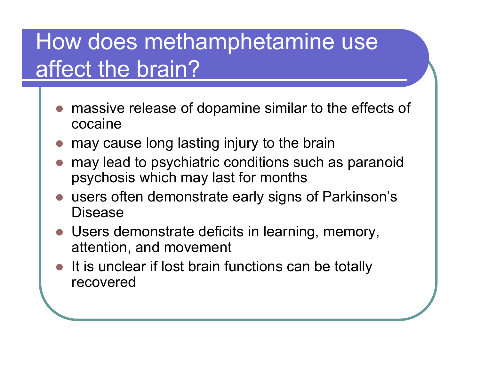#### How does methamphetamine use affect the brain?

- $\bullet$  massive release of dopamine similar to the effects of cocaine
- $\bullet$ may cause long lasting injury to the brain
- $\bullet$ ● may lead to psychiatric conditions such as paranoid psychosis which may last for months
- $\bullet$  users often demonstrate early signs of Parkinson's Disease
- Users demonstrate deficits in learning, memory, attention, and movement
- $\bigcirc$ It is unclear if lost brain functions can be totally recovered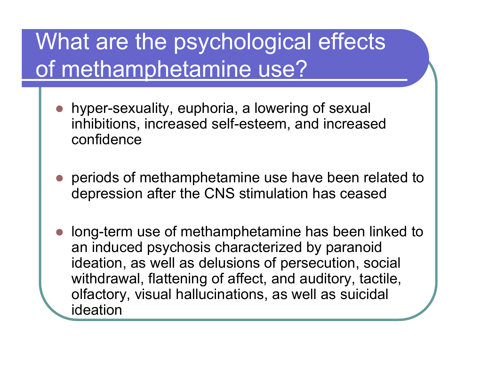## What are the psychological effects of methamphetamine use?

- $\bullet$  hyper-sexuality, euphoria, a lowering of sexual inhibitions, increased self-esteem, and increased confidence
- $\bigcirc$  periods of methamphetamine use have been related to depression after the CNS stimulation has ceased
- $\bullet$ ● long-term use of methamphetamine has been linked to an induced psychosis characterized by paranoid ideation, as well as delusions of persecution, social withdrawal, flattening of affect, and auditory, tactile, olfactory, visual hallucinations, as well as suicidal ideation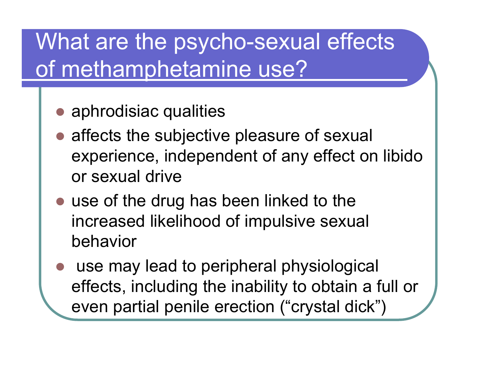## What are the psycho-sexual effects of methamphetamine use?

- aphrodisiac qualities
- affects the subjective pleasure of sexual experience, independent of any effect on libido or sexual drive
- use of the drug has been linked to the increased likelihood of impulsive sexual behavior
- $\bullet$  use may lead to peripheral physiological effects, including the inability to obtain a full or even partial penile erection ("crystal dick")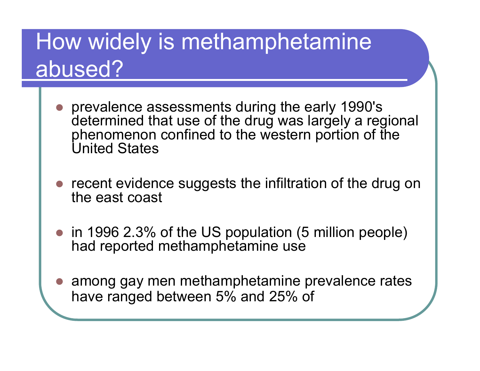#### How widely is methamphetamine abused?

- $\bullet$  prevalence assessments during the early 1990's determined that use of the drug was largely a regional phenomenon confined to the western portion of the United States
- $\bullet$  recent evidence suggests the infiltration of the drug on the east coast
- in 1996 2.3% of the US population (5 million people) had reported methamphetamine use
- $\bullet$  among gay men methamphetamine prevalence rates have ranged between 5% and 25% of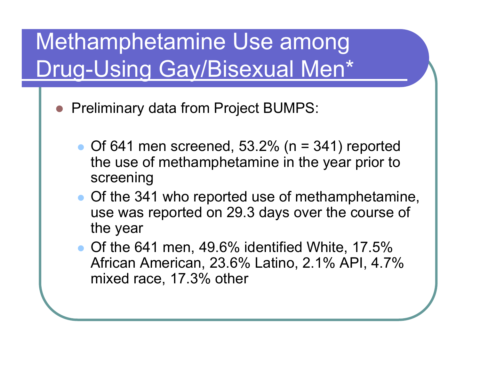## Methamphetamine Use among Drug-Using Gay/Bisexual Men\*

- **Preliminary data from Project BUMPS:** 
	- $\bullet$  Of 641 men screened, 53.2% (n = 341) reported the use of methamphetamine in the year prior to screening
	- Of the 341 who reported use of methamphetamine, use was reported on 29.3 days over the course of the year
	- Of the 641 men, 49.6% identified White, 17.5% African American, 23.6% Latino, 2.1% API, 4.7% mixed race, 17.3% other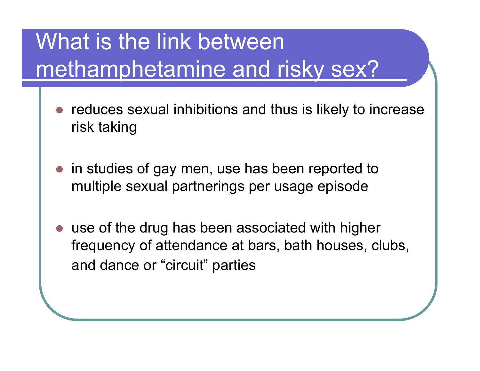## What is the link between methamphetamine and risky sex?

- $\bullet$  reduces sexual inhibitions and thus is likely to increase risk taking
- in studies of gay men, use has been reported to multiple sexual partnerings per usage episode
- $\bullet$  use of the drug has been associated with higher frequency of attendance at bars, bath houses, clubs, and dance or "circuit" parties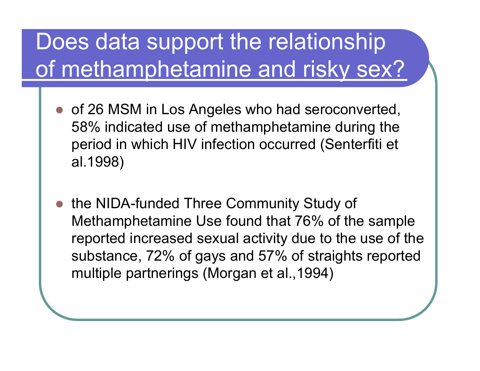## Does data support the relationship of methamphetamine and risky sex?

- $\bullet$  of 26 MSM in Los Angeles who had seroconverted, 58% indicated use of methamphetamine during the period in which HIV infection occurred (Senterfiti et al.1998)
- $\bullet$  the NIDA-funded Three Community Study of Methamphetamine Use found that 76% of the sample reported increased sexual activity due to the use of the substance, 72% of gays and 57% of straights reported multiple partnerings (Morgan et al.,1994)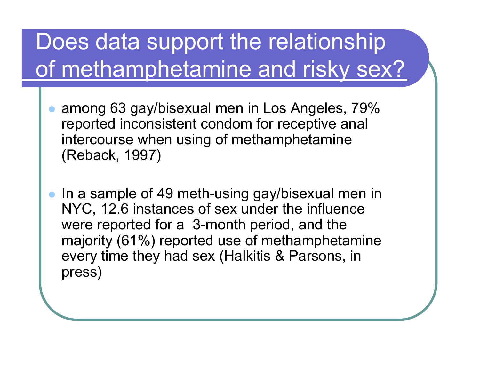## Does data support the relationship of methamphetamine and risky sex?

- $\bullet$  among 63 gay/bisexual men in Los Angeles, 79% reported inconsistent condom for receptive anal intercours e when using of methamphetamine (Reback, 1997)
- $\bullet$  In a sample of 49 meth-using gay/bisexual men in NYC, 12.6 instances of sex under the influence were reported for a 3-month period, and the majority (61%) reported use of methamphetamine every time they had sex (Halkitis & Parsons, in press)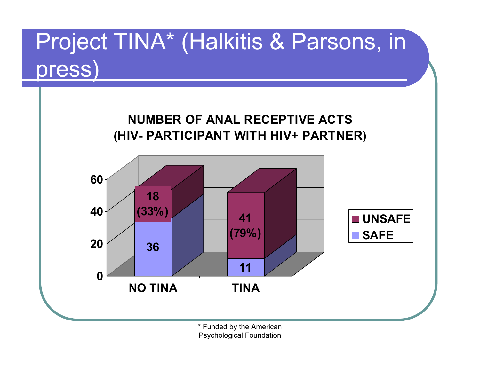## Project TINA\* (Halkitis & Parsons, in press)



\* Funded by the American Psychological Foundation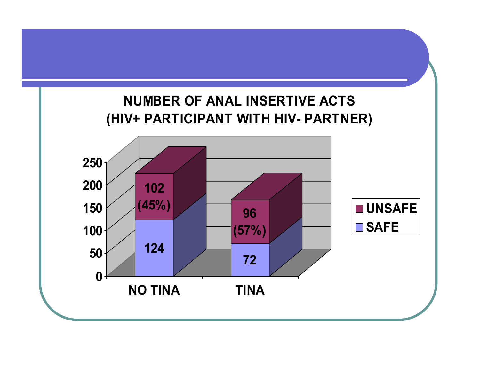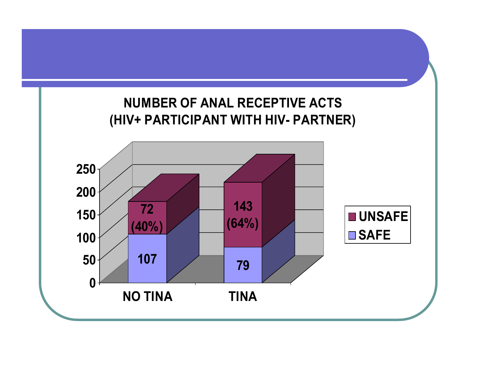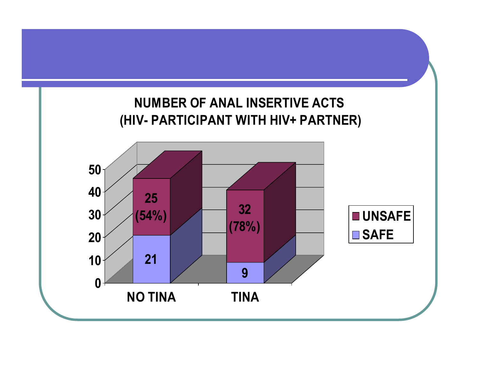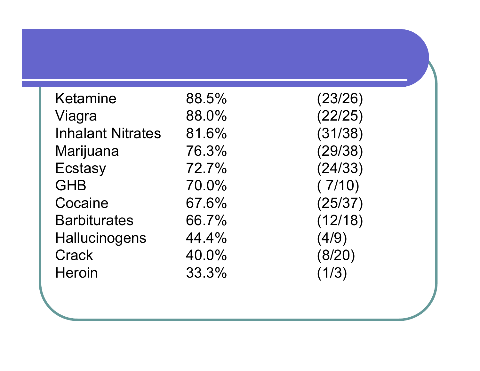| <b>Ketamine</b>          | 88.5% | (23/26) |
|--------------------------|-------|---------|
| Viagra                   | 88.0% | (22/25) |
| <b>Inhalant Nitrates</b> | 81.6% | (31/38) |
| Marijuana                | 76.3% | (29/38) |
| Ecstasy                  | 72.7% | (24/33) |
| <b>GHB</b>               | 70.0% | (7/10)  |
| Cocaine                  | 67.6% | (25/37) |
| <b>Barbiturates</b>      | 66.7% | (12/18) |
| Hallucinogens            | 44.4% | (4/9)   |
| <b>Crack</b>             | 40.0% | (8/20)  |
| <b>Heroin</b>            | 33.3% | 1/3)    |